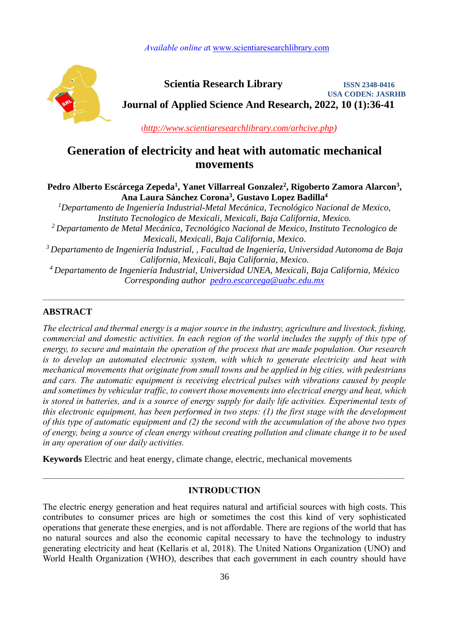*Available online a*t [www.scientiaresearchlibrary.com](http://www.scientiaresearchlibrary.com/)



 **Scientia Research Library ISSN 2348-0416 USA CODEN: JASRHB Journal of Applied Science And Research, 2022, 10 (1):36-41**

(*[http://www.scientiaresearchlibrary.com/arhcive.php\)](http://www.scientiaresearchlibrary.com/arhcive.php)*

# **Generation of electricity and heat with automatic mechanical movements**

## Pedro Alberto Escárcega Zepeda<sup>1</sup>, Yanet Villarreal Gonzalez<sup>2</sup>, Rigoberto Zamora Alarcon<sup>3</sup>, **4 , Gustavo Lopez Badilla Ana Laura Sánchez Corona<sup>3</sup>**

*Departamento de Ingeniería Industrial-Metal Mecánica, Tecnológico Nacional de Mexico, <sup>1</sup> Instituto Tecnologico de Mexicali, Mexicali, Baja California, Mexico. Departamento de Metal Mecánica, Tecnológico Nacional de Mexico, Instituto Tecnologico de <sup>2</sup> Mexicali, Mexicali, Baja California, Mexico. Departamento de Ingeniería Industrial, , Facultad de Ingeniería, Universidad Autonoma de Baja <sup>3</sup> California, Mexicali, Baja California, Mexico. Departamento de Ingeniería Industrial, Universidad UNEA, Mexicali, Baja California, México <sup>4</sup> Corresponding author [pedro.escarcega@uabc.edu.mx](mailto:pedro.escarcega@uabc.edu.mx)*

 $\mathcal{L}_\text{max} = \frac{1}{2} \sum_{i=1}^{n} \frac{1}{2} \sum_{i=1}^{n} \frac{1}{2} \sum_{i=1}^{n} \frac{1}{2} \sum_{i=1}^{n} \frac{1}{2} \sum_{i=1}^{n} \frac{1}{2} \sum_{i=1}^{n} \frac{1}{2} \sum_{i=1}^{n} \frac{1}{2} \sum_{i=1}^{n} \frac{1}{2} \sum_{i=1}^{n} \frac{1}{2} \sum_{i=1}^{n} \frac{1}{2} \sum_{i=1}^{n} \frac{1}{2} \sum_{i=1}^{n} \frac{1$ 

# **ABSTRACT**

*The electrical and thermal energy is a major source in the industry, agriculture and livestock, fishing, commercial and domestic activities. In each region of the world includes the supply of this type of energy, to secure and maintain the operation of the process that are made population. Our research is to develop an automated electronic system, with which to generate electricity and heat with mechanical movements that originate from small towns and be applied in big cities, with pedestrians and cars. The automatic equipment is receiving electrical pulses with vibrations caused by people and sometimes by vehicular traffic, to convert those movements into electrical energy and heat, which is stored in batteries, and is a source of energy supply for daily life activities. Experimental tests of this electronic equipment, has been performed in two steps: (1) the first stage with the development of this type of automatic equipment and (2) the second with the accumulation of the above two types of energy, being a source of clean energy without creating pollution and climate change it to be used in any operation of our daily activities.*

**Keywords** Electric and heat energy, climate change, electric, mechanical movements

# **INTRODUCTION**

 $\mathcal{L}_\mathcal{L} = \mathcal{L}_\mathcal{L} = \mathcal{L}_\mathcal{L} = \mathcal{L}_\mathcal{L} = \mathcal{L}_\mathcal{L} = \mathcal{L}_\mathcal{L} = \mathcal{L}_\mathcal{L} = \mathcal{L}_\mathcal{L} = \mathcal{L}_\mathcal{L} = \mathcal{L}_\mathcal{L} = \mathcal{L}_\mathcal{L} = \mathcal{L}_\mathcal{L} = \mathcal{L}_\mathcal{L} = \mathcal{L}_\mathcal{L} = \mathcal{L}_\mathcal{L} = \mathcal{L}_\mathcal{L} = \mathcal{L}_\mathcal{L}$ 

The electric energy generation and heat requires natural and artificial sources with high costs. This contributes to consumer prices are high or sometimes the cost this kind of very sophisticated operations that generate these energies, and is not affordable. There are regions of the world that has no natural sources and also the economic capital necessary to have the technology to industry generating electricity and heat (Kellaris et al, 2018). The United Nations Organization (UNO) and World Health Organization (WHO), describes that each government in each country should have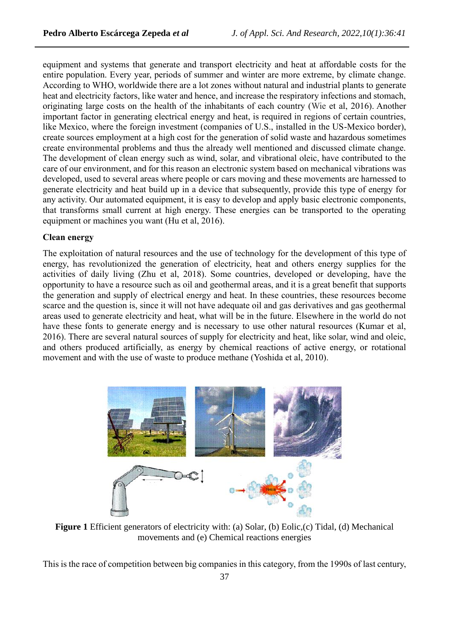equipment and systems that generate and transport electricity and heat at affordable costs for the entire population. Every year, periods of summer and winter are more extreme, by climate change. According to WHO, worldwide there are a lot zones without natural and industrial plants to generate heat and electricity factors, like water and hence, and increase the respiratory infections and stomach, originating large costs on the health of the inhabitants of each country (Wie et al, 2016). Another important factor in generating electrical energy and heat, is required in regions of certain countries, like Mexico, where the foreign investment (companies of U.S., installed in the US-Mexico border), create sources employment at a high cost for the generation of solid waste and hazardous sometimes create environmental problems and thus the already well mentioned and discussed climate change. The development of clean energy such as wind, solar, and vibrational oleic, have contributed to the care of our environment, and for this reason an electronic system based on mechanical vibrations was developed, used to several areas where people or cars moving and these movements are harnessed to generate electricity and heat build up in a device that subsequently, provide this type of energy for any activity. Our automated equipment, it is easy to develop and apply basic electronic components, that transforms small current at high energy. These energies can be transported to the operating equipment or machines you want (Hu et al, 2016).

## **Clean energy**

The exploitation of natural resources and the use of technology for the development of this type of energy, has revolutionized the generation of electricity, heat and others energy supplies for the activities of daily living (Zhu et al, 2018). Some countries, developed or developing, have the opportunity to have a resource such as oil and geothermal areas, and it is a great benefit that supports the generation and supply of electrical energy and heat. In these countries, these resources become scarce and the question is, since it will not have adequate oil and gas derivatives and gas geothermal areas used to generate electricity and heat, what will be in the future. Elsewhere in the world do not have these fonts to generate energy and is necessary to use other natural resources (Kumar et al, 2016). There are several natural sources of supply for electricity and heat, like solar, wind and oleic, and others produced artificially, as energy by chemical reactions of active energy, or rotational movement and with the use of waste to produce methane (Yoshida et al, 2010).



**Figure 1** Efficient generators of electricity with: (a) Solar, (b) Eolic,(c) Tidal, (d) Mechanical movements and (e) Chemical reactions energies

This is the race of competition between big companies in this category, from the 1990s of last century,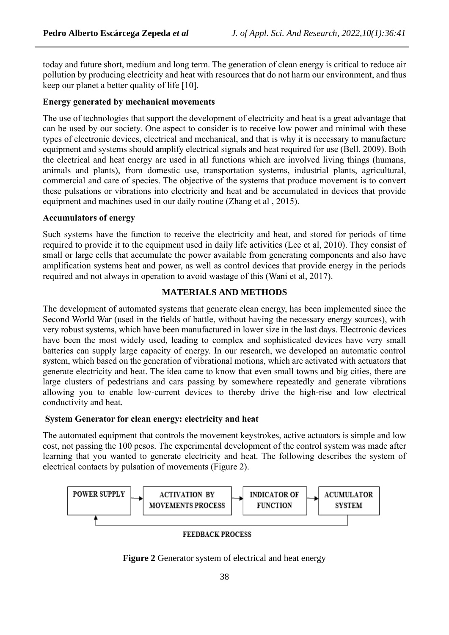today and future short, medium and long term. The generation of clean energy is critical to reduce air pollution by producing electricity and heat with resources that do not harm our environment, and thus keep our planet a better quality of life [10].

#### **Energy generated by mechanical movements**

The use of technologies that support the development of electricity and heat is a great advantage that can be used by our society. One aspect to consider is to receive low power and minimal with these types of electronic devices, electrical and mechanical, and that is why it is necessary to manufacture equipment and systems should amplify electrical signals and heat required for use (Bell, 2009). Both the electrical and heat energy are used in all functions which are involved living things (humans, animals and plants), from domestic use, transportation systems, industrial plants, agricultural, commercial and care of species. The objective of the systems that produce movement is to convert these pulsations or vibrations into electricity and heat and be accumulated in devices that provide equipment and machines used in our daily routine (Zhang et al , 2015).

#### **Accumulators of energy**

Such systems have the function to receive the electricity and heat, and stored for periods of time required to provide it to the equipment used in daily life activities (Lee et al, 2010). They consist of small or large cells that accumulate the power available from generating components and also have amplification systems heat and power, as well as control devices that provide energy in the periods required and not always in operation to avoid wastage of this (Wani et al, 2017).

#### **MATERIALS AND METHODS**

The development of automated systems that generate clean energy, has been implemented since the Second World War (used in the fields of battle, without having the necessary energy sources), with very robust systems, which have been manufactured in lower size in the last days. Electronic devices have been the most widely used, leading to complex and sophisticated devices have very small batteries can supply large capacity of energy. In our research, we developed an automatic control system, which based on the generation of vibrational motions, which are activated with actuators that generate electricity and heat. The idea came to know that even small towns and big cities, there are large clusters of pedestrians and cars passing by somewhere repeatedly and generate vibrations allowing you to enable low-current devices to thereby drive the high-rise and low electrical conductivity and heat.

#### **System Generator for clean energy: electricity and heat**

The automated equipment that controls the movement keystrokes, active actuators is simple and low cost, not passing the 100 pesos. The experimental development of the control system was made after learning that you wanted to generate electricity and heat. The following describes the system of electrical contacts by pulsation of movements (Figure 2).



**FEEDBACK PROCESS** 

**Figure 2** Generator system of electrical and heat energy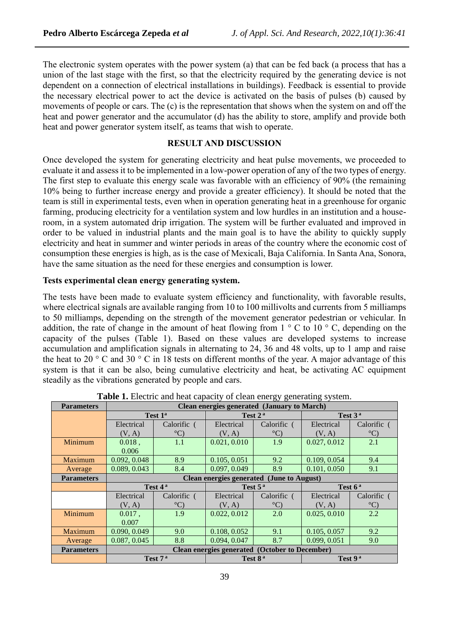The electronic system operates with the power system (a) that can be fed back (a process that has a union of the last stage with the first, so that the electricity required by the generating device is not dependent on a connection of electrical installations in buildings). Feedback is essential to provide the necessary electrical power to act the device is activated on the basis of pulses (b) caused by movements of people or cars. The (c) is the representation that shows when the system on and off the heat and power generator and the accumulator (d) has the ability to store, amplify and provide both heat and power generator system itself, as teams that wish to operate.

#### **RESULT AND DISCUSSION**

Once developed the system for generating electricity and heat pulse movements, we proceeded to evaluate it and assess it to be implemented in a low-power operation of any of the two types of energy. The first step to evaluate this energy scale was favorable with an efficiency of 90% (the remaining 10% being to further increase energy and provide a greater efficiency). It should be noted that the team is still in experimental tests, even when in operation generating heat in a greenhouse for organic farming, producing electricity for a ventilation system and low hurdles in an institution and a houseroom, in a system automated drip irrigation. The system will be further evaluated and improved in order to be valued in industrial plants and the main goal is to have the ability to quickly supply electricity and heat in summer and winter periods in areas of the country where the economic cost of consumption these energies is high, as is the case of Mexicali, Baja California. In Santa Ana, Sonora, have the same situation as the need for these energies and consumption is lower.

## **Tests experimental clean energy generating system.**

The tests have been made to evaluate system efficiency and functionality, with favorable results, where electrical signals are available ranging from 10 to 100 millivolts and currents from 5 milliamps to 50 milliamps, depending on the strength of the movement generator pedestrian or vehicular. In addition, the rate of change in the amount of heat flowing from  $1 \degree$  C to  $10 \degree$  C, depending on the capacity of the pulses (Table 1). Based on these values are developed systems to increase accumulation and amplification signals in alternating to 24, 36 and 48 volts, up to 1 amp and raise the heat to 20  $\degree$  C and 30  $\degree$  C in 18 tests on different months of the year. A major advantage of this system is that it can be also, being cumulative electricity and heat, be activating AC equipment steadily as the vibrations generated by people and cars.

| <b>Parameters</b> | Clean energies generated (January to March) |                     |                                                       |                       |              |                  |  |  |
|-------------------|---------------------------------------------|---------------------|-------------------------------------------------------|-----------------------|--------------|------------------|--|--|
|                   | Test 1 <sup>a</sup>                         |                     | Test 2 <sup>a</sup>                                   |                       | Test $3a$    |                  |  |  |
|                   | Electrical                                  | Calorific (         | Electrical                                            | Calorific (           | Electrical   | Calorific (      |  |  |
|                   | (V, A)                                      | $\rm ^{\circ}C$     | (V, A)                                                | $^{\circ}$ C)         | (V, A)       | $^{\circ}$ C)    |  |  |
| Minimum           | $0.018$ ,                                   | 1.1                 | 0.021, 0.010                                          | 1.9                   | 0.027, 0.012 | 2.1              |  |  |
|                   | 0.006                                       |                     |                                                       |                       |              |                  |  |  |
| Maximum           | 0.092, 0.048                                | 8.9                 | 0.105, 0.051                                          | 9.2                   | 0.109, 0.054 | 9.4              |  |  |
| Average           | 0.089, 0.043                                | 8.4                 | 0.097, 0.049                                          | 8.9                   | 0.101, 0.050 | 9.1              |  |  |
| <b>Parameters</b> | Clean energies generated (June to August)   |                     |                                                       |                       |              |                  |  |  |
|                   |                                             |                     |                                                       |                       |              |                  |  |  |
|                   |                                             | Test 4 <sup>a</sup> |                                                       | Test $5^{\mathrm{a}}$ |              | Test $6a$        |  |  |
|                   | Electrical                                  | Calorific (         | Electrical                                            | Calorific (           | Electrical   | Calorific        |  |  |
|                   | (V, A)                                      | $\rm ^{\circ}C$     | (V, A)                                                | $\rm ^{\circ}C$       | (V, A)       | $\rm ^{\circ}C)$ |  |  |
| Minimum           | $0.017$ ,                                   | 1.9                 | 0.022, 0.012                                          | 2.0                   | 0.025, 0.010 | 2.2              |  |  |
|                   | 0.007                                       |                     |                                                       |                       |              |                  |  |  |
| Maximum           | 0.090, 0.049                                | 9.0                 | 0.108, 0.052                                          | 9.1                   | 0.105, 0.057 | 9.2              |  |  |
| Average           | 0.087, 0.045                                | 8.8                 | 0.094, 0.047                                          | 8.7                   | 0.099, 0.051 | 9.0              |  |  |
| <b>Parameters</b> |                                             |                     | <b>Clean energies generated (October to December)</b> |                       |              |                  |  |  |

**Table 1.** Electric and heat capacity of clean energy generating system.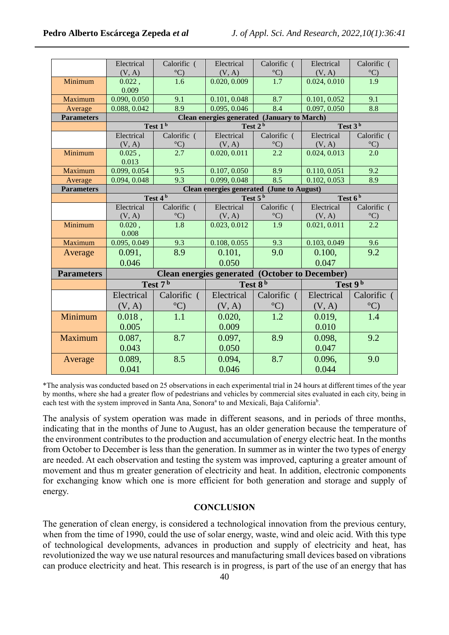|                   | Electrical                                                                                                  | Calorific (                     | Electrical             | Calorific (             | Electrical             | Calorific (             |  |  |
|-------------------|-------------------------------------------------------------------------------------------------------------|---------------------------------|------------------------|-------------------------|------------------------|-------------------------|--|--|
| Minimum           | (V, A)<br>0.022,                                                                                            | $\rm ^{\circ}C)$<br>1.6         | (V, A)<br>0.020, 0.009 | $\rm ^{\circ}C$<br>1.7  | (V, A)<br>0.024, 0.010 | $\rm ^{\circ}C)$<br>1.9 |  |  |
|                   | 0.009                                                                                                       |                                 |                        |                         |                        |                         |  |  |
| Maximum           | 0.090, 0.050                                                                                                | 9.1                             | 0.101, 0.048           | 8.7                     | 0.101, 0.052           | 9.1                     |  |  |
| Average           | 0.088, 0.042                                                                                                | 8.9                             | 0.095, 0.046           | 8.4                     | 0.097, 0.050           | 8.8                     |  |  |
| <b>Parameters</b> | Clean energies generated (January to March)                                                                 |                                 |                        |                         |                        |                         |  |  |
|                   | Test 1 <sup>b</sup>                                                                                         |                                 | Test 2 <sup>b</sup>    |                         | Test $3b$              |                         |  |  |
|                   | Electrical                                                                                                  | Calorific (                     | Electrical             | Calorific (             | Electrical             | Calorific (             |  |  |
|                   | (V, A)                                                                                                      | $\frac{^{\circ}C}{2.7}$         | (V, A)                 | $\rm ^{\circ}C)$        | (V, A)                 | $\frac{\circ C}{2.0}$   |  |  |
| Minimum           | $0.025$ ,                                                                                                   |                                 | 0.020, 0.011           | $\frac{1}{2.2}$         | 0.024, 0.013           |                         |  |  |
|                   | 0.013                                                                                                       |                                 |                        |                         |                        |                         |  |  |
| Maximum           | 0.099, 0.054                                                                                                | 9.5<br>9.3                      | 0.107, 0.050           | 8.9<br>$\overline{8.5}$ | 0.110, 0.051           | 9.2                     |  |  |
| Average           | 0.094, 0.048                                                                                                |                                 | 0.099, 0.048           |                         | 0.102, 0.053           | 8.9                     |  |  |
| <b>Parameters</b> | <b>Clean energies generated (June to August)</b><br>Test 4 <sup>b</sup><br>Test $6b$<br>Test 5 <sup>b</sup> |                                 |                        |                         |                        |                         |  |  |
|                   | Electrical                                                                                                  |                                 | Electrical             | Calorific (             | Electrical             |                         |  |  |
|                   |                                                                                                             | Calorific (<br>$\rm ^{\circ}C)$ | (V, A)                 | $^{\circ}$ C)           |                        | Calorific (             |  |  |
| Minimum           | (V, A)<br>0.020,                                                                                            | $\overline{1.8}$                | 0.023, 0.012           | 1.9                     | (V, A)<br>0.021, 0.011 | $\frac{^{\circ}C}{2.2}$ |  |  |
|                   | 0.008                                                                                                       |                                 |                        |                         |                        |                         |  |  |
| Maximum           | 0.095, 0.049                                                                                                | 9.3                             | 0.108, 0.055           | 9.3                     | 0.103, 0.049           | 9.6                     |  |  |
| Average           | 0.091,                                                                                                      | 8.9                             | 0.101,                 | 9.0                     | 0.100,                 | 9.2                     |  |  |
|                   | 0.046                                                                                                       |                                 | 0.050                  |                         | 0.047                  |                         |  |  |
| <b>Parameters</b> | <b>Clean energies generated (October to December)</b>                                                       |                                 |                        |                         |                        |                         |  |  |
|                   | Test $7b$                                                                                                   |                                 | Test 8 <sup>b</sup>    |                         | Test 9b                |                         |  |  |
|                   | Electrical                                                                                                  | Calorific (                     | Electrical             | Calorific (             | Electrical             | Calorific (             |  |  |
|                   | (V, A)                                                                                                      | $\rm ^{\circ}C)$                | (V, A)                 | $\rm ^{\circ}C$         | (V, A)                 | $\rm ^{\circ}C)$        |  |  |
| Minimum           | 0.018,                                                                                                      | 1.1                             | 0.020,                 | 1.2                     | 0.019,                 | 1.4                     |  |  |
|                   | 0.005                                                                                                       |                                 | 0.009                  |                         | 0.010                  |                         |  |  |
| Maximum           | 0.087,                                                                                                      | 8.7                             | 0.097,                 | 8.9                     | 0.098,                 | 9.2                     |  |  |
|                   | 0.043                                                                                                       |                                 | 0.050                  |                         | 0.047                  |                         |  |  |
| Average           | 0.089,                                                                                                      | 8.5                             | 0.094,                 | 8.7                     | 0.096,                 | 9.0                     |  |  |
|                   | 0.041                                                                                                       |                                 | 0.046                  |                         | 0.044                  |                         |  |  |
|                   |                                                                                                             |                                 |                        |                         |                        |                         |  |  |

\*The analysis was conducted based on 25 observations in each experimental trial in 24 hours at different times of the year by months, where she had a greater flow of pedestrians and vehicles by commercial sites evaluated in each city, being in each test with the system improved in Santa Ana, Sonora<sup>a</sup> to and Mexicali, Baja California<sup>b</sup>.

The analysis of system operation was made in different seasons, and in periods of three months, indicating that in the months of June to August, has an older generation because the temperature of the environment contributes to the production and accumulation of energy electric heat. In the months from October to December is less than the generation. In summer as in winter the two types of energy are needed. At each observation and testing the system was improved, capturing a greater amount of movement and thus m greater generation of electricity and heat. In addition, electronic components for exchanging know which one is more efficient for both generation and storage and supply of energy.

## **CONCLUSION**

The generation of clean energy, is considered a technological innovation from the previous century, when from the time of 1990, could the use of solar energy, waste, wind and oleic acid. With this type of technological developments, advances in production and supply of electricity and heat, has revolutionized the way we use natural resources and manufacturing small devices based on vibrations can produce electricity and heat. This research is in progress, is part of the use of an energy that has